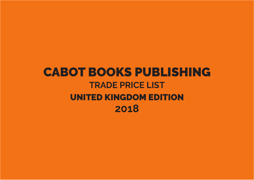## **CABOT BOOKS PUBLISHING TRADE PRICE LIST UNITED KINGDOM EDITION** 2018

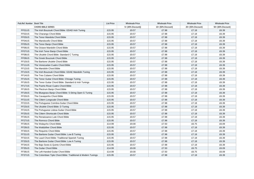| Pub.Ref. Number Book Title |                                                               | <b>List Price</b> | <b>Wholesale Price</b> | <b>Wholesale Price</b> | <b>Wholesale Price</b> | <b>Wholesale Price</b> |
|----------------------------|---------------------------------------------------------------|-------------------|------------------------|------------------------|------------------------|------------------------|
|                            | <b>CHORD BIBLE SERIES</b>                                     |                   | 5+ (40% Discount))     | 10+ (50% Discount)     | 20+ (55% Discount)     | 50+ (60% Discount)     |
| FF01US                     | The Irish Bouzouki Chord Bible: GDAD Irish Tuning             | £15.95            | £9.57                  | £7.98                  | £7.18                  | £6.39                  |
| FF02US                     | The Charango Chord Bible                                      | £15.95            | £9.57                  | £7.98                  | £7.18                  | £6.39                  |
| FF03US                     | The Tenor Mandola Chord Bible                                 | £15.95            | £9.57                  | £7.98                  | £7.18                  | £6.39                  |
| FF04US                     | The Mandocello Chord Bible                                    | £15.95            | £9.57                  | £7.98                  | £7.18                  | £6.39                  |
| FF05US                     | The Tenor Banjo Chord Bible                                   | £15.95            | £9.57                  | £7.98                  | £7.18                  | £6.39                  |
| FF06US                     | The Octave Mandolin Chord Bible                               | £15.95            | £9.57                  | £7.98                  | £7.18                  | £6.39                  |
| FF07US                     | The Irish Tenor Banjo Chord Bible                             | £15.95            | £9.57                  | £7.98                  | £7.18                  | £6.39                  |
| FF08US                     | The Ukulele Chord Bible: Standard C Tuning                    | £15.95            | £9.57                  | £7.98                  | £7.18                  | £6.39                  |
| FF09US                     | The Greek Bouzouki Chord Bible                                | £15.95            | £9.57                  | £7.98                  | £7.18                  | £6.39                  |
| FF10US                     | The Baritone Ukulele Chord Bible                              | £15.95            | £9.57                  | £7.98                  | £7.18                  | £6.39                  |
| FF11US                     | The Venezuelan Cuatro Chord Bible                             | £15.95            | £9.57                  | £7.98                  | £7.18                  | £6.39                  |
| FF12US                     | The Mandolin Chord Bible                                      | £15.95            | £9.57                  | £7.98                  | £7.18                  | £6.39                  |
| FF13US                     | The Irish Bouzouki Chord Bible: GDAE Mandolin Tuning          | £15.95            | £9.57                  | £7.98                  | £7.18                  | £6.39                  |
| FF14US                     | The Tres Cubano Chord Bible                                   | £15.95            | £9.57                  | £7.98                  | £7.18                  | £6.39                  |
| FF15US                     | The Tenor Guitar Chord Bible: Chicago Tuning                  | £15.95            | £9.57                  | £7.98                  | £7.18                  | £6.39                  |
| FF16US                     | The Tenor Guitar Chord Bible: Standard & Irish Tunings        | £15.95            | £9.57                  | £7.98                  | £7.18                  | £6.39                  |
| FF17US                     | The Puerto Rican Cuatro Chord Bible                           | £15.95            | £9.57                  | £7.98                  | £7.18                  | £6.39                  |
| FF18US                     | The Plectrum Banjo Chord Bible                                | £15.95            | £9.57                  | £7.98                  | £7.18                  | £6.39                  |
| FF19US                     | The Bluegrass Banjo Chord Bible: 5-String Open G Tuning       | £15.95            | £9.57                  | £7.98                  | £7.18                  | £6.39                  |
| FF20US                     | The Cavaquinho Chord Bible                                    | £15.95            | £9.57                  | £7.98                  | £7.18                  | £6.39                  |
| FF21US                     | The Cittern Longscale Chord Bible                             | £15.95            | £9.57                  | £7.98                  | £7.18                  | £6.39                  |
| FF22US                     | The Portuguese Coimbra Guitar Chord Bible                     | £15.95            | £9.57                  | £7.98                  | £7.18                  | £6.39                  |
| FF23US                     | The Ukulele Chord Bible: D Tuning                             | £15.95            | £9.57                  | £7.98                  | £7.18                  | £6.39                  |
| FF24US                     | The Portuguese Lisboa Guitar Chord Bible                      | £15.95            | £9.57                  | £7.98                  | £7.18                  | £6.39                  |
| FF25US                     | The Cittern Shortscale Chord Bible                            | £15.95            | £9.57                  | £7.98                  | £7.18                  | £6.39                  |
| FF26US                     | The Renaissance Lute Chord Bible                              | £15.95            | £9.57                  | £7.98                  | £7.18                  | £6.39                  |
| FF27US                     | The Ronroco Chord Bible                                       | £15.95            | £9.57                  | £7.98                  | £7.18                  | £6.39                  |
| FF28US                     | The Walaycho Chord Bible                                      | £14.99            | £9.00                  | £7.50                  | £6.75                  | £6.09                  |
| FF29US                     | The Waldzither Chord Bible                                    | £15.95            | £9.57                  | £7.98                  | £7.18                  | £6.39                  |
| FF30US                     | The Requinto Chord Bible                                      | £15.95            | £9.57                  | £7.98                  | £7.18                  | £6.39                  |
| FF31US                     | The Baritone Guitar Chord Bible: Low B Tuning                 | £15.95            | £9.57                  | £7.98                  | £7.18                  | £6.39                  |
| FF32US                     | The Laud Chord Bible: Traditional Spanish Tuning              | £15.95            | £9.57                  | £7.98                  | £7.18                  | £6.39                  |
| FF33US                     | The Baritone Guitar Chord Bible: Low A Tuning                 | £15.95            | £9.57                  | £7.98                  | £7.18                  | £6.39                  |
| FF34US                     | The Bajo Sexto & Quinto Chord Bible                           | £15.95            | £9.57                  | £7.98                  | £7.18                  | £6.39                  |
| FF35US                     | The Guitar Chord Bible                                        | £14.99            | £9.00                  | £7.50                  | £6.75                  | £6.09                  |
| FF36US                     | The Left-Handed Guitar Chord Bible                            | £14.99            | £9.00                  | £7.50                  | £6.75                  | £6.09                  |
| FF37US                     | The Colombian Tiple Chord Bible: Traditional & Modern Tunings | £15.95            | £9.57                  | £7.98                  | £7.18                  | £6.39                  |